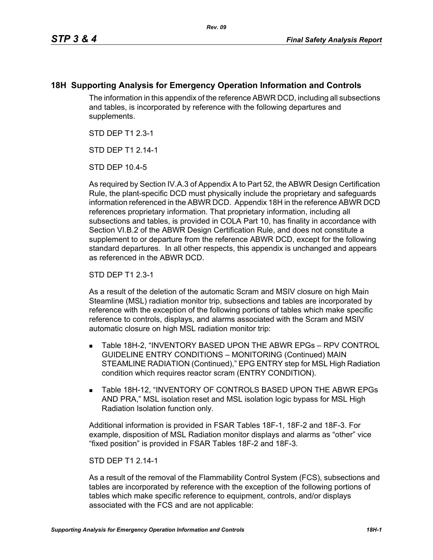## **18H Supporting Analysis for Emergency Operation Information and Controls**

The information in this appendix of the reference ABWR DCD, including all subsections and tables, is incorporated by reference with the following departures and supplements.

STD DEP T1 2.3-1

STD DFP T1 2 14-1

STD DEP 10.4-5

As required by Section IV.A.3 of Appendix A to Part 52, the ABWR Design Certification Rule, the plant-specific DCD must physically include the proprietary and safeguards information referenced in the ABWR DCD. Appendix 18H in the reference ABWR DCD references proprietary information. That proprietary information, including all subsections and tables, is provided in COLA Part 10, has finality in accordance with Section VI.B.2 of the ABWR Design Certification Rule, and does not constitute a supplement to or departure from the reference ABWR DCD, except for the following standard departures. In all other respects, this appendix is unchanged and appears as referenced in the ABWR DCD.

STD DEP T1 2.3-1

As a result of the deletion of the automatic Scram and MSIV closure on high Main Steamline (MSL) radiation monitor trip, subsections and tables are incorporated by reference with the exception of the following portions of tables which make specific reference to controls, displays, and alarms associated with the Scram and MSIV automatic closure on high MSL radiation monitor trip:

- Table 18H-2, "INVENTORY BASED UPON THE ABWR EPGs RPV CONTROL GUIDELINE ENTRY CONDITIONS – MONITORING (Continued) MAIN STEAMLINE RADIATION (Continued)," EPG ENTRY step for MSL High Radiation condition which requires reactor scram (ENTRY CONDITION).
- **Table 18H-12, "INVENTORY OF CONTROLS BASED UPON THE ABWR EPGs** AND PRA," MSL isolation reset and MSL isolation logic bypass for MSL High Radiation Isolation function only.

Additional information is provided in FSAR Tables 18F-1, 18F-2 and 18F-3. For example, disposition of MSL Radiation monitor displays and alarms as "other" vice "fixed position" is provided in FSAR Tables 18F-2 and 18F-3.

## STD DEP T1 2.14-1

As a result of the removal of the Flammability Control System (FCS), subsections and tables are incorporated by reference with the exception of the following portions of tables which make specific reference to equipment, controls, and/or displays associated with the FCS and are not applicable: